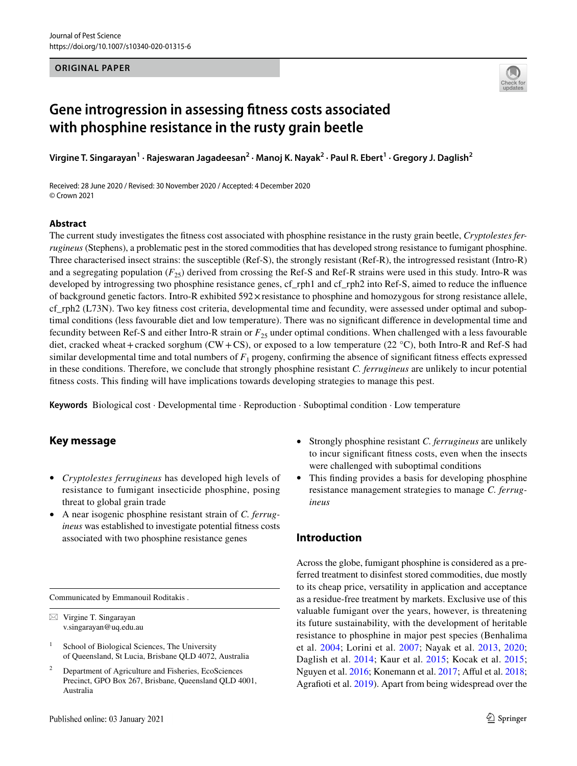### **ORIGINAL PAPER**



# **Gene introgression in assessing ftness costs associated with phosphine resistance in the rusty grain beetle**

**Virgine T. Singarayan<sup>1</sup> · Rajeswaran Jagadeesan2 · Manoj K. Nayak2 · Paul R. Ebert1 · Gregory J. Daglish2**

Received: 28 June 2020 / Revised: 30 November 2020 / Accepted: 4 December 2020 © Crown 2021

### **Abstract**

The current study investigates the ftness cost associated with phosphine resistance in the rusty grain beetle, *Cryptolestes ferrugineus* (Stephens), a problematic pest in the stored commodities that has developed strong resistance to fumigant phosphine. Three characterised insect strains: the susceptible (Ref-S), the strongly resistant (Ref-R), the introgressed resistant (Intro-R) and a segregating population  $(F_{25})$  derived from crossing the Ref-S and Ref-R strains were used in this study. Intro-R was developed by introgressing two phosphine resistance genes, cf\_rph1 and cf\_rph2 into Ref-S, aimed to reduce the influence of background genetic factors. Intro-R exhibited 592×resistance to phosphine and homozygous for strong resistance allele, cf\_rph2 (L73N). Two key ftness cost criteria, developmental time and fecundity, were assessed under optimal and suboptimal conditions (less favourable diet and low temperature). There was no signifcant diference in developmental time and fecundity between Ref-S and either Intro-R strain or  $F_{25}$  under optimal conditions. When challenged with a less favourable diet, cracked wheat+cracked sorghum (CW+CS), or exposed to a low temperature (22  $^{\circ}$ C), both Intro-R and Ref-S had similar developmental time and total numbers of  $F_1$  progeny, confirming the absence of significant fitness effects expressed in these conditions. Therefore, we conclude that strongly phosphine resistant *C. ferrugineus* are unlikely to incur potential ftness costs. This fnding will have implications towards developing strategies to manage this pest.

**Keywords** Biological cost · Developmental time · Reproduction · Suboptimal condition · Low temperature

# **Key message**

- *Cryptolestes ferrugineus* has developed high levels of resistance to fumigant insecticide phosphine, posing threat to global grain trade
- A near isogenic phosphine resistant strain of *C. ferrugineus* was established to investigate potential ftness costs associated with two phosphine resistance genes

Communicated by Emmanouil Roditakis .

 $\boxtimes$  Virgine T. Singarayan v.singarayan@uq.edu.au

<sup>2</sup> Department of Agriculture and Fisheries, EcoSciences Precinct, GPO Box 267, Brisbane, Queensland QLD 4001, Australia

- Strongly phosphine resistant *C. ferrugineus* are unlikely to incur signifcant ftness costs, even when the insects were challenged with suboptimal conditions
- This fnding provides a basis for developing phosphine resistance management strategies to manage *C. ferrugineus*

# **Introduction**

Across the globe, fumigant phosphine is considered as a preferred treatment to disinfest stored commodities, due mostly to its cheap price, versatility in application and acceptance as a residue-free treatment by markets. Exclusive use of this valuable fumigant over the years, however, is threatening its future sustainability, with the development of heritable resistance to phosphine in major pest species (Benhalima et al. [2004;](#page-10-0) Lorini et al. [2007;](#page-11-0) Nayak et al. [2013,](#page-11-1) [2020](#page-11-2); Daglish et al. [2014](#page-10-1); Kaur et al. [2015;](#page-11-3) Kocak et al. [2015](#page-11-4); Nguyen et al. [2016;](#page-11-5) Konemann et al. [2017](#page-11-6); Afful et al. [2018](#page-10-2); Agrafoti et al. [2019\)](#page-10-3). Apart from being widespread over the

 $1$  School of Biological Sciences, The University of Queensland, St Lucia, Brisbane QLD 4072, Australia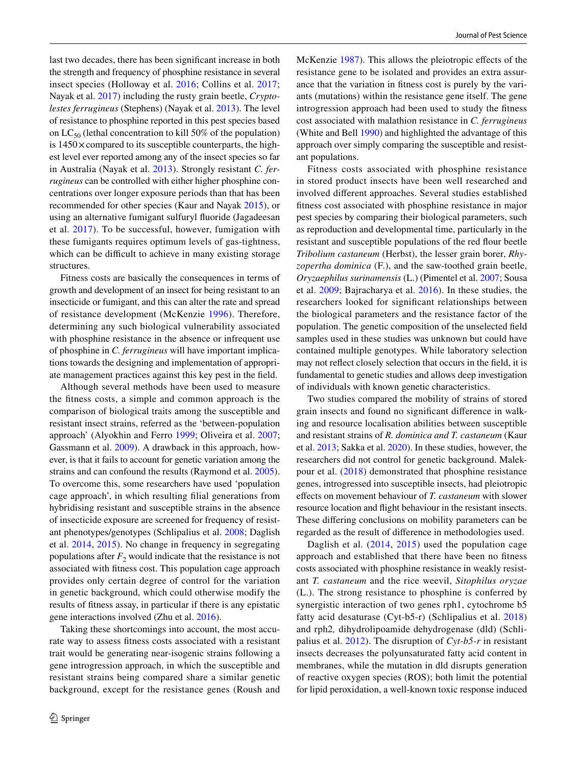last two decades, there has been signifcant increase in both the strength and frequency of phosphine resistance in several insect species (Holloway et al. [2016;](#page-10-4) Collins et al. [2017](#page-10-5); Nayak et al. [2017](#page-11-7)) including the rusty grain beetle, *Cryptolestes ferrugineus* (Stephens) (Nayak et al. [2013\)](#page-11-1). The level of resistance to phosphine reported in this pest species based on  $LC_{50}$  (lethal concentration to kill 50% of the population) is  $1450 \times$  compared to its susceptible counterparts, the highest level ever reported among any of the insect species so far in Australia (Nayak et al. [2013](#page-11-1)). Strongly resistant *C. ferrugineus* can be controlled with either higher phosphine concentrations over longer exposure periods than that has been recommended for other species (Kaur and Nayak [2015](#page-11-8)), or using an alternative fumigant sulfuryl fuoride (Jagadeesan et al. [2017\)](#page-10-6). To be successful, however, fumigation with these fumigants requires optimum levels of gas-tightness, which can be difficult to achieve in many existing storage structures.

Fitness costs are basically the consequences in terms of growth and development of an insect for being resistant to an insecticide or fumigant, and this can alter the rate and spread of resistance development (McKenzie [1996\)](#page-11-9). Therefore, determining any such biological vulnerability associated with phosphine resistance in the absence or infrequent use of phosphine in *C. ferrugineus* will have important implications towards the designing and implementation of appropriate management practices against this key pest in the feld.

Although several methods have been used to measure the ftness costs, a simple and common approach is the comparison of biological traits among the susceptible and resistant insect strains, referred as the 'between-population approach' (Alyokhin and Ferro [1999](#page-10-7); Oliveira et al. [2007](#page-11-10); Gassmann et al. [2009\)](#page-10-8). A drawback in this approach, however, is that it fails to account for genetic variation among the strains and can confound the results (Raymond et al. [2005](#page-11-11)). To overcome this, some researchers have used 'population cage approach', in which resulting flial generations from hybridising resistant and susceptible strains in the absence of insecticide exposure are screened for frequency of resistant phenotypes/genotypes (Schlipalius et al. [2008](#page-11-12); Daglish et al. [2014,](#page-10-1) [2015\)](#page-10-9). No change in frequency in segregating populations after  $F_2$  would indicate that the resistance is not associated with ftness cost. This population cage approach provides only certain degree of control for the variation in genetic background, which could otherwise modify the results of ftness assay, in particular if there is any epistatic gene interactions involved (Zhu et al. [2016](#page-11-13)).

Taking these shortcomings into account, the most accurate way to assess ftness costs associated with a resistant trait would be generating near-isogenic strains following a gene introgression approach, in which the susceptible and resistant strains being compared share a similar genetic background, except for the resistance genes (Roush and McKenzie [1987](#page-11-14)). This allows the pleiotropic effects of the resistance gene to be isolated and provides an extra assurance that the variation in ftness cost is purely by the variants (mutations) within the resistance gene itself. The gene introgression approach had been used to study the ftness cost associated with malathion resistance in *C. ferrugineus* (White and Bell [1990\)](#page-11-15) and highlighted the advantage of this approach over simply comparing the susceptible and resistant populations.

Fitness costs associated with phosphine resistance in stored product insects have been well researched and involved diferent approaches. Several studies established ftness cost associated with phosphine resistance in major pest species by comparing their biological parameters, such as reproduction and developmental time, particularly in the resistant and susceptible populations of the red four beetle *Tribolium castaneum* (Herbst), the lesser grain borer, *Rhyzopertha dominica* (F.), and the saw-toothed grain beetle, *Oryzaephilus surinamensis* (L.) (Pimentel et al. [2007;](#page-11-16) Sousa et al. [2009](#page-11-17); Bajracharya et al. [2016\)](#page-10-10). In these studies, the researchers looked for signifcant relationships between the biological parameters and the resistance factor of the population. The genetic composition of the unselected feld samples used in these studies was unknown but could have contained multiple genotypes. While laboratory selection may not refect closely selection that occurs in the feld, it is fundamental to genetic studies and allows deep investigation of individuals with known genetic characteristics.

Two studies compared the mobility of strains of stored grain insects and found no signifcant diference in walking and resource localisation abilities between susceptible and resistant strains of *R. dominica and T. castaneum* (Kaur et al. [2013](#page-11-18); Sakka et al. [2020](#page-11-19)). In these studies, however, the researchers did not control for genetic background. Malekpour et al. ([2018](#page-11-20)) demonstrated that phosphine resistance genes, introgressed into susceptible insects, had pleiotropic efects on movement behaviour of *T. castaneum* with slower resource location and fight behaviour in the resistant insects. These difering conclusions on mobility parameters can be regarded as the result of diference in methodologies used.

Daglish et al. [\(2014](#page-10-1), [2015](#page-10-9)) used the population cage approach and established that there have been no ftness costs associated with phosphine resistance in weakly resistant *T. castaneum* and the rice weevil, *Sitophilus oryzae* (L.). The strong resistance to phosphine is conferred by synergistic interaction of two genes rph1, cytochrome b5 fatty acid desaturase (Cyt-b5-r) (Schlipalius et al. [2018\)](#page-11-21) and rph2*,* dihydrolipoamide dehydrogenase (dld) (Schlipalius et al. [2012](#page-11-22)). The disruption of *Cyt-b5-r* in resistant insects decreases the polyunsaturated fatty acid content in membranes, while the mutation in dld disrupts generation of reactive oxygen species (ROS); both limit the potential for lipid peroxidation, a well-known toxic response induced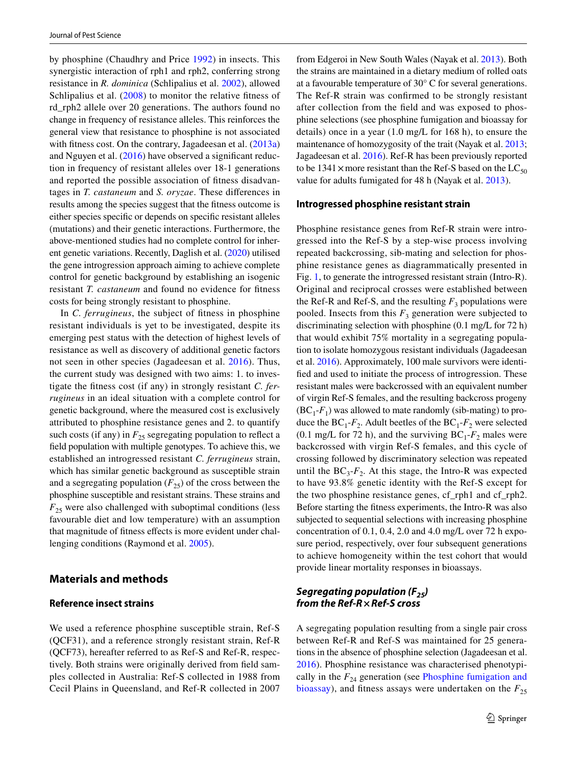by phosphine (Chaudhry and Price [1992\)](#page-10-11) in insects. This synergistic interaction of rph1 and rph2, conferring strong resistance in *R. dominica* (Schlipalius et al. [2002](#page-11-23)), allowed Schlipalius et al. [\(2008\)](#page-11-12) to monitor the relative fitness of rd\_rph2 allele over 20 generations. The authors found no change in frequency of resistance alleles. This reinforces the general view that resistance to phosphine is not associated with fitness cost. On the contrary, Jagadeesan et al. [\(2013a\)](#page-10-12) and Nguyen et al. ([2016](#page-11-5)) have observed a signifcant reduction in frequency of resistant alleles over 18-1 generations and reported the possible association of ftness disadvantages in *T. castaneum* and *S. oryzae*. These diferences in results among the species suggest that the ftness outcome is either species specific or depends on specific resistant alleles (mutations) and their genetic interactions. Furthermore, the above-mentioned studies had no complete control for inherent genetic variations. Recently, Daglish et al. [\(2020\)](#page-10-13) utilised the gene introgression approach aiming to achieve complete control for genetic background by establishing an isogenic resistant *T. castaneum* and found no evidence for ftness costs for being strongly resistant to phosphine.

In *C. ferrugineus*, the subject of ftness in phosphine resistant individuals is yet to be investigated, despite its emerging pest status with the detection of highest levels of resistance as well as discovery of additional genetic factors not seen in other species (Jagadeesan et al. [2016\)](#page-10-14). Thus, the current study was designed with two aims: 1. to investigate the ftness cost (if any) in strongly resistant *C. ferrugineus* in an ideal situation with a complete control for genetic background, where the measured cost is exclusively attributed to phosphine resistance genes and 2. to quantify such costs (if any) in  $F_{25}$  segregating population to reflect a feld population with multiple genotypes. To achieve this, we established an introgressed resistant *C. ferrugineus* strain, which has similar genetic background as susceptible strain and a segregating population  $(F_{25})$  of the cross between the phosphine susceptible and resistant strains. These strains and  $F_{25}$  were also challenged with suboptimal conditions (less favourable diet and low temperature) with an assumption that magnitude of ftness efects is more evident under challenging conditions (Raymond et al. [2005](#page-11-11)).

### **Materials and methods**

### **Reference insect strains**

We used a reference phosphine susceptible strain, Ref-S (QCF31), and a reference strongly resistant strain, Ref-R (QCF73), hereafter referred to as Ref-S and Ref-R, respectively. Both strains were originally derived from feld samples collected in Australia: Ref-S collected in 1988 from Cecil Plains in Queensland, and Ref-R collected in 2007 from Edgeroi in New South Wales (Nayak et al. [2013\)](#page-11-1). Both the strains are maintained in a dietary medium of rolled oats at a favourable temperature of 30° C for several generations. The Ref-R strain was confrmed to be strongly resistant after collection from the feld and was exposed to phosphine selections (see phosphine fumigation and bioassay for details) once in a year (1.0 mg/L for 168 h), to ensure the maintenance of homozygosity of the trait (Nayak et al. [2013](#page-11-1); Jagadeesan et al. [2016\)](#page-10-14). Ref-R has been previously reported to be 1341  $\times$  more resistant than the Ref-S based on the LC<sub>50</sub> value for adults fumigated for 48 h (Nayak et al. [2013\)](#page-11-1).

#### **Introgressed phosphine resistant strain**

Phosphine resistance genes from Ref-R strain were introgressed into the Ref-S by a step-wise process involving repeated backcrossing, sib-mating and selection for phosphine resistance genes as diagrammatically presented in Fig. [1](#page-3-0), to generate the introgressed resistant strain (Intro-R). Original and reciprocal crosses were established between the Ref-R and Ref-S, and the resulting  $F_3$  populations were pooled. Insects from this  $F_3$  generation were subjected to discriminating selection with phosphine (0.1 mg/L for 72 h) that would exhibit 75% mortality in a segregating population to isolate homozygous resistant individuals (Jagadeesan et al. [2016](#page-10-14)). Approximately, 100 male survivors were identifed and used to initiate the process of introgression. These resistant males were backcrossed with an equivalent number of virgin Ref-S females, and the resulting backcross progeny  $(BC<sub>1</sub>-F<sub>1</sub>)$  was allowed to mate randomly (sib-mating) to produce the  $BC_1$ - $F_2$ . Adult beetles of the  $BC_1$ - $F_2$  were selected (0.1 mg/L for 72 h), and the surviving  $BC_1$ - $F_2$  males were backcrossed with virgin Ref-S females, and this cycle of crossing followed by discriminatory selection was repeated until the  $BC_3$ - $F_2$ . At this stage, the Intro-R was expected to have 93.8% genetic identity with the Ref-S except for the two phosphine resistance genes, cf\_rph1 and cf\_rph2. Before starting the ftness experiments, the Intro-R was also subjected to sequential selections with increasing phosphine concentration of 0.1, 0.4, 2.0 and 4.0 mg/L over 72 h exposure period, respectively, over four subsequent generations to achieve homogeneity within the test cohort that would provide linear mortality responses in bioassays.

# *Segregating population (F<sub>25</sub>) from the Ref‑R***×***Ref‑S cross*

A segregating population resulting from a single pair cross between Ref-R and Ref-S was maintained for 25 generations in the absence of phosphine selection (Jagadeesan et al. [2016\)](#page-10-14). Phosphine resistance was characterised phenotypically in the  $F_{24}$  generation (see [Phosphine fumigation and](#page-4-0) [bioassay\)](#page-4-0), and fitness assays were undertaken on the  $F_{25}$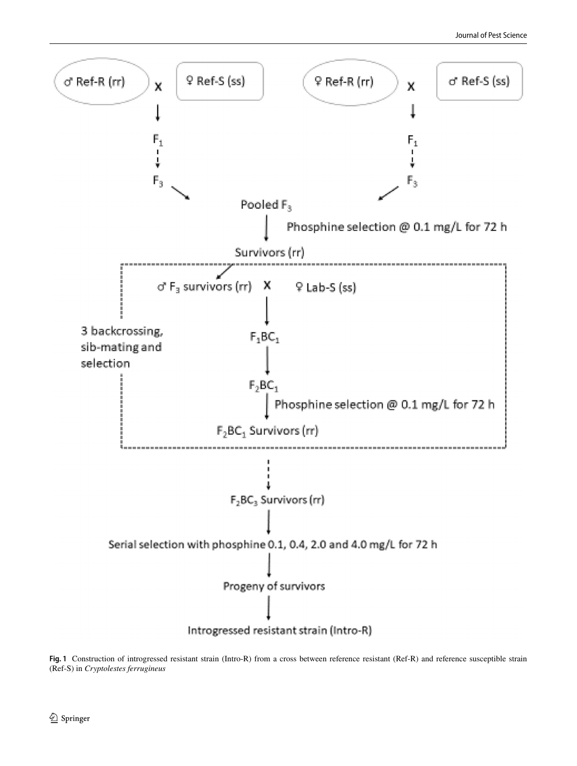

<span id="page-3-0"></span>**Fig. 1** Construction of introgressed resistant strain (Intro-R) from a cross between reference resistant (Ref-R) and reference susceptible strain (Ref-S) in *Cryptolestes ferrugineus*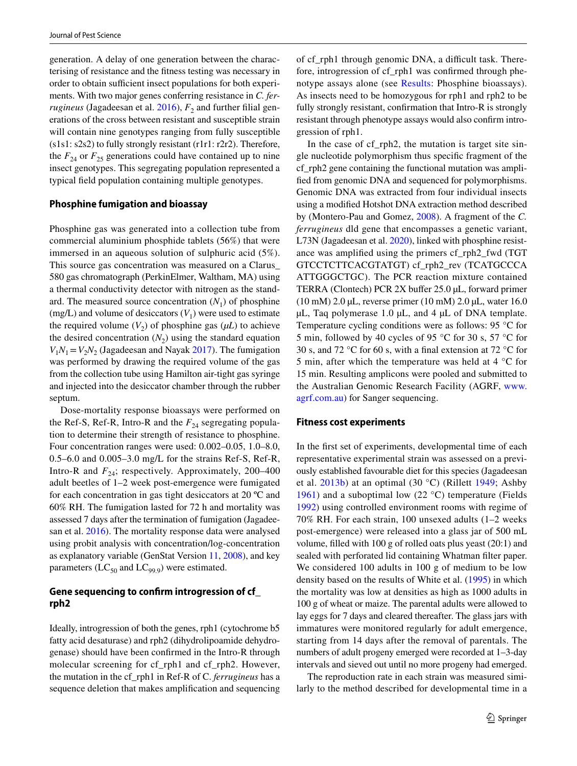generation. A delay of one generation between the characterising of resistance and the ftness testing was necessary in order to obtain sufficient insect populations for both experiments. With two major genes conferring resistance in *C. ferrugineus* (Jagadeesan et al.  $2016$ ),  $F<sub>2</sub>$  and further filial generations of the cross between resistant and susceptible strain will contain nine genotypes ranging from fully susceptible (s1s1: s2s2) to fully strongly resistant (r1r1: r2r2). Therefore, the  $F_{24}$  or  $F_{25}$  generations could have contained up to nine insect genotypes. This segregating population represented a typical feld population containing multiple genotypes.

### <span id="page-4-0"></span>**Phosphine fumigation and bioassay**

Phosphine gas was generated into a collection tube from commercial aluminium phosphide tablets (56%) that were immersed in an aqueous solution of sulphuric acid (5%). This source gas concentration was measured on a Clarus\_ 580 gas chromatograph (PerkinElmer, Waltham, MA) using a thermal conductivity detector with nitrogen as the standard. The measured source concentration  $(N_1)$  of phosphine (mg/L) and volume of desiccators  $(V_1)$  were used to estimate the required volume  $(V_2)$  of phosphine gas  $(\mu L)$  to achieve the desired concentration  $(N_2)$  using the standard equation  $V_1N_1=V_2N_2$  (Jagadeesan and Nayak [2017\)](#page-10-6). The fumigation was performed by drawing the required volume of the gas from the collection tube using Hamilton air-tight gas syringe and injected into the desiccator chamber through the rubber septum.

Dose-mortality response bioassays were performed on the Ref-S, Ref-R, Intro-R and the  $F_{24}$  segregating population to determine their strength of resistance to phosphine. Four concentration ranges were used: 0.002–0.05, 1.0–8.0, 0.5–6.0 and 0.005–3.0 mg/L for the strains Ref-S, Ref-R, Intro-R and  $F_{24}$ ; respectively. Approximately, 200–400 adult beetles of 1–2 week post-emergence were fumigated for each concentration in gas tight desiccators at 20 ºC and 60% RH. The fumigation lasted for 72 h and mortality was assessed 7 days after the termination of fumigation (Jagadeesan et al. [2016\)](#page-10-14). The mortality response data were analysed using probit analysis with concentration/log-concentration as explanatory variable (GenStat Version [11, 2008](#page-10-15)), and key parameters ( $LC_{50}$  and  $LC_{99.9}$ ) were estimated.

# **Gene sequencing to confrm introgression of cf\_ rph2**

Ideally, introgression of both the genes, rph1 (cytochrome b5 fatty acid desaturase) and rph2 (dihydrolipoamide dehydrogenase) should have been confrmed in the Intro-R through molecular screening for cf\_rph1 and cf\_rph2. However, the mutation in the cf\_rph1 in Ref-R of C. *ferrugineus* has a sequence deletion that makes amplifcation and sequencing of cf\_rph1 through genomic DNA, a difficult task. Therefore, introgression of cf\_rph1 was confrmed through phenotype assays alone (see [Results](#page-5-0): Phosphine bioassays). As insects need to be homozygous for rph1 and rph2 to be fully strongly resistant, confrmation that Intro-R is strongly resistant through phenotype assays would also confrm introgression of rph1.

In the case of cf rph2, the mutation is target site single nucleotide polymorphism thus specifc fragment of the cf\_rph2 gene containing the functional mutation was amplifed from genomic DNA and sequenced for polymorphisms. Genomic DNA was extracted from four individual insects using a modifed Hotshot DNA extraction method described by (Montero-Pau and Gomez, [2008](#page-11-24)). A fragment of the *C. ferrugineus* dld gene that encompasses a genetic variant, L73N (Jagadeesan et al. [2020](#page-10-16)), linked with phosphine resistance was amplifed using the primers cf\_rph2\_fwd (TGT GTCCTCTTCACGTATGT) cf\_rph2\_rev (TCATGCCCA ATTGGGCTGC). The PCR reaction mixture contained TERRA (Clontech) PCR 2X buffer 25.0 µL, forward primer (10 mM) 2.0 µL, reverse primer (10 mM) 2.0 µL, water 16.0 µL, Taq polymerase 1.0 µL, and 4 µL of DNA template. Temperature cycling conditions were as follows: 95 °C for 5 min, followed by 40 cycles of 95 °C for 30 s, 57 °C for 30 s, and 72 °C for 60 s, with a fnal extension at 72 °C for 5 min, after which the temperature was held at 4 °C for 15 min. Resulting amplicons were pooled and submitted to the Australian Genomic Research Facility (AGRF, [www.](http://www.agrf.com.au) [agrf.com.au\)](http://www.agrf.com.au) for Sanger sequencing.

### **Fitness cost experiments**

In the frst set of experiments, developmental time of each representative experimental strain was assessed on a previously established favourable diet for this species (Jagadeesan et al. [2013b](#page-10-17)) at an optimal (30 °C) (Rillett [1949](#page-11-25); Ashby [1961\)](#page-10-18) and a suboptimal low  $(22 \degree C)$  temperature (Fields [1992](#page-10-19)) using controlled environment rooms with regime of 70% RH. For each strain, 100 unsexed adults (1–2 weeks post-emergence) were released into a glass jar of 500 mL volume, flled with 100 g of rolled oats plus yeast (20:1) and sealed with perforated lid containing Whatman flter paper. We considered 100 adults in 100 g of medium to be low density based on the results of White et al. [\(1995\)](#page-11-26) in which the mortality was low at densities as high as 1000 adults in 100 g of wheat or maize. The parental adults were allowed to lay eggs for 7 days and cleared thereafter. The glass jars with immatures were monitored regularly for adult emergence, starting from 14 days after the removal of parentals. The numbers of adult progeny emerged were recorded at 1–3-day intervals and sieved out until no more progeny had emerged.

The reproduction rate in each strain was measured similarly to the method described for developmental time in a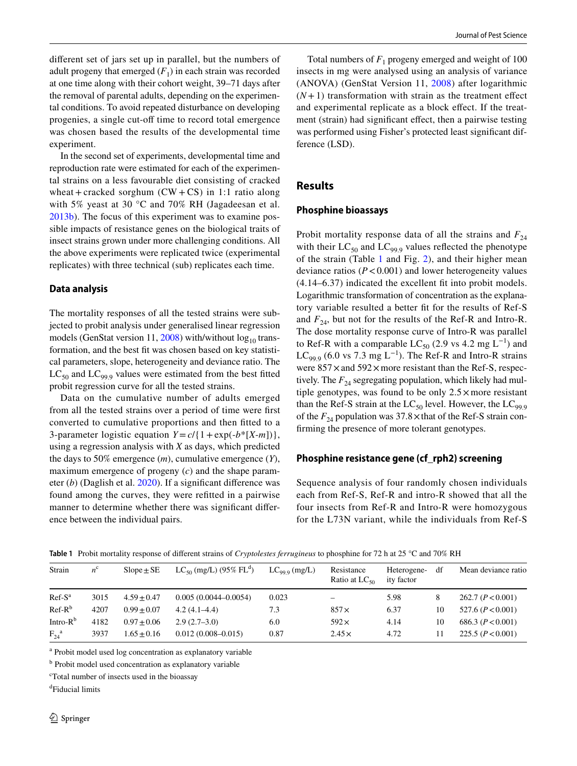diferent set of jars set up in parallel, but the numbers of adult progeny that emerged  $(F_1)$  in each strain was recorded at one time along with their cohort weight, 39–71 days after the removal of parental adults, depending on the experimental conditions. To avoid repeated disturbance on developing progenies, a single cut-off time to record total emergence was chosen based the results of the developmental time experiment.

In the second set of experiments, developmental time and reproduction rate were estimated for each of the experimental strains on a less favourable diet consisting of cracked wheat + cracked sorghum  $(CW + CS)$  in 1:1 ratio along with 5% yeast at 30 °C and 70% RH (Jagadeesan et al. [2013b](#page-10-17)). The focus of this experiment was to examine possible impacts of resistance genes on the biological traits of insect strains grown under more challenging conditions. All the above experiments were replicated twice (experimental replicates) with three technical (sub) replicates each time.

### **Data analysis**

The mortality responses of all the tested strains were subjected to probit analysis under generalised linear regression models (GenStat version 11, [2008\)](#page-10-15) with/without  $log_{10}$  transformation, and the best ft was chosen based on key statistical parameters, slope, heterogeneity and deviance ratio. The  $LC_{50}$  and  $LC_{99.9}$  values were estimated from the best fitted probit regression curve for all the tested strains.

Data on the cumulative number of adults emerged from all the tested strains over a period of time were frst converted to cumulative proportions and then ftted to a 3-parameter logistic equation  $Y = c / \{1 + \exp(-b^* [X-m])\},\$ using a regression analysis with *X* as days, which predicted the days to 50% emergence (*m*), cumulative emergence (*Y*), maximum emergence of progeny (*c*) and the shape parameter (*b*) (Daglish et al. [2020](#page-10-13)). If a signifcant diference was found among the curves, they were reftted in a pairwise manner to determine whether there was signifcant diference between the individual pairs.

Total numbers of  $F_1$  progeny emerged and weight of 100 insects in mg were analysed using an analysis of variance (ANOVA) (GenStat Version 11, [2008](#page-10-15)) after logarithmic  $(N+1)$  transformation with strain as the treatment effect and experimental replicate as a block efect. If the treatment (strain) had signifcant efect, then a pairwise testing was performed using Fisher's protected least signifcant difference (LSD).

# <span id="page-5-0"></span>**Results**

### **Phosphine bioassays**

Probit mortality response data of all the strains and  $F_{24}$ with their  $LC_{50}$  and  $LC_{99.9}$  values reflected the phenotype of the strain (Table [1](#page-5-1) and Fig. [2](#page-6-0)), and their higher mean deviance ratios  $(P < 0.001)$  and lower heterogeneity values (4.14–6.37) indicated the excellent ft into probit models. Logarithmic transformation of concentration as the explanatory variable resulted a better ft for the results of Ref-S and  $F_{24}$ , but not for the results of the Ref-R and Intro-R. The dose mortality response curve of Intro-R was parallel to Ref-R with a comparable LC<sub>50</sub> (2.9 vs 4.2 mg L<sup>-1</sup>) and LC<sub>99.9</sub> (6.0 vs 7.3 mg L<sup>-1</sup>). The Ref-R and Intro-R strains were  $857 \times$  and  $592 \times$  more resistant than the Ref-S, respectively. The  $F_{24}$  segregating population, which likely had multiple genotypes, was found to be only  $2.5 \times$  more resistant than the Ref-S strain at the  $LC_{50}$  level. However, the  $LC_{99.9}$ of the  $F_{24}$  population was 37.8  $\times$  that of the Ref-S strain confrming the presence of more tolerant genotypes.

### **Phosphine resistance gene (cf\_rph2) screening**

Sequence analysis of four randomly chosen individuals each from Ref-S, Ref-R and intro-R showed that all the four insects from Ref-R and Intro-R were homozygous for the L73N variant, while the individuals from Ref-S

| Strain             | $n^{c}$ | $Slope \pm SE$ | $LC_{50}$ (mg/L) (95% FL <sup>d</sup> ) | $LC_{999}$ (mg/L) | Resistance<br>Ratio at $LC_{50}$ | Heterogene-<br>ity factor | df | Mean deviance ratio |
|--------------------|---------|----------------|-----------------------------------------|-------------------|----------------------------------|---------------------------|----|---------------------|
| $Ref-Sa$           | 3015    | $4.59 + 0.47$  | $0.005(0.0044 - 0.0054)$                | 0.023             | $\overline{\phantom{0}}$         | 5.98                      | 8  | 262.7 (P<0.001)     |
| $Ref-R^b$          | 4207    | $0.99 + 0.07$  | $4.2(4.1-4.4)$                          | 7.3               | $857\times$                      | 6.37                      | 10 | 527.6 (P < 0.001)   |
| Intro- $Rb$        | 4182    | $0.97 + 0.06$  | $2.9(2.7-3.0)$                          | 6.0               | $592\times$                      | 4.14                      | 10 | 686.3 $(P<0.001)$   |
| $F_{24}^{\quad a}$ | 3937    | $1.65 + 0.16$  | $0.012(0.008 - 0.015)$                  | 0.87              | $2.45\times$                     | 4.72                      | 11 | 225.5 $(P<0.001)$   |

<span id="page-5-1"></span>**Table 1** Probit mortality response of diferent strains of *Cryptolestes ferrugineus* to phosphine for 72 h at 25 °C and 70% RH

a Probit model used log concentration as explanatory variable

<sup>b</sup> Probit model used concentration as explanatory variable

c Total number of insects used in the bioassay

d Fiducial limits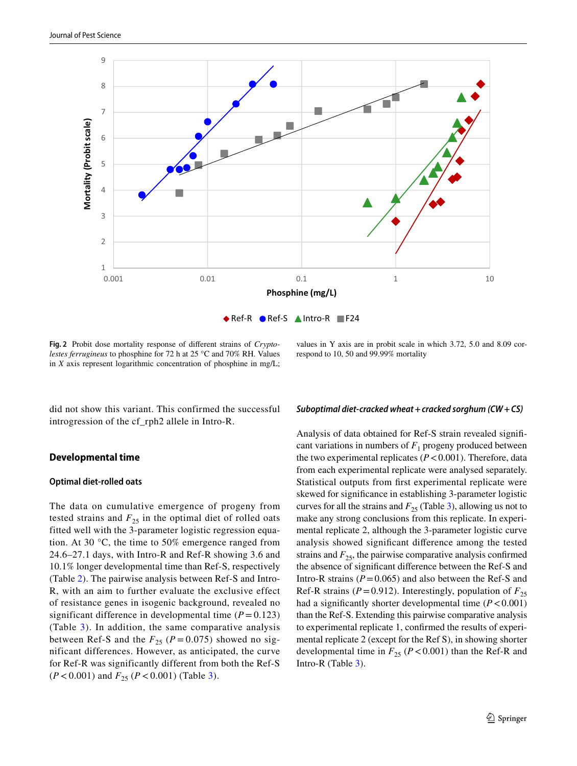

<span id="page-6-0"></span>**Fig. 2** Probit dose mortality response of diferent strains of *Cryptolestes ferrugineus* to phosphine for 72 h at 25 °C and 70% RH. Values in *X* axis represent logarithmic concentration of phosphine in mg/L;

did not show this variant. This confirmed the successful introgression of the cf\_rph2 allele in Intro-R.

#### **Developmental time**

#### **Optimal diet‑rolled oats**

The data on cumulative emergence of progeny from tested strains and  $F_{25}$  in the optimal diet of rolled oats fitted well with the 3-parameter logistic regression equation. At 30 °C, the time to 50% emergence ranged from 24.6–27.1 days, with Intro-R and Ref-R showing 3.6 and 10.1% longer developmental time than Ref-S, respectively (Table [2](#page-7-0)). The pairwise analysis between Ref-S and Intro-R, with an aim to further evaluate the exclusive effect of resistance genes in isogenic background, revealed no significant difference in developmental time  $(P = 0.123)$ (Table [3](#page-7-1)). In addition, the same comparative analysis between Ref-S and the  $F_{25}$  ( $P = 0.075$ ) showed no significant differences. However, as anticipated, the curve for Ref-R was significantly different from both the Ref-S  $(P < 0.001)$  and  $F_{25}$   $(P < 0.001)$  (Table [3](#page-7-1)).

values in Y axis are in probit scale in which 3.72, 5.0 and 8.09 correspond to 10, 50 and 99.99% mortality

#### *Suboptimal diet‑cracked wheat***+***cracked sorghum (CW***+***CS)*

Analysis of data obtained for Ref-S strain revealed signifcant variations in numbers of  $F_1$  progeny produced between the two experimental replicates  $(P < 0.001)$ . Therefore, data from each experimental replicate were analysed separately. Statistical outputs from frst experimental replicate were skewed for signifcance in establishing 3-parameter logistic curves for all the strains and  $F_{25}$  (Table [3](#page-7-1)), allowing us not to make any strong conclusions from this replicate. In experimental replicate 2, although the 3-parameter logistic curve analysis showed signifcant diference among the tested strains and  $F_{25}$ , the pairwise comparative analysis confirmed the absence of signifcant diference between the Ref-S and Intro-R strains  $(P=0.065)$  and also between the Ref-S and Ref-R strains ( $P = 0.912$ ). Interestingly, population of  $F_{25}$ had a significantly shorter developmental time  $(P < 0.001)$ than the Ref-S. Extending this pairwise comparative analysis to experimental replicate 1, confrmed the results of experimental replicate 2 (except for the Ref S), in showing shorter developmental time in  $F_{25}$  ( $P < 0.001$ ) than the Ref-R and Intro-R (Table [3\)](#page-7-1).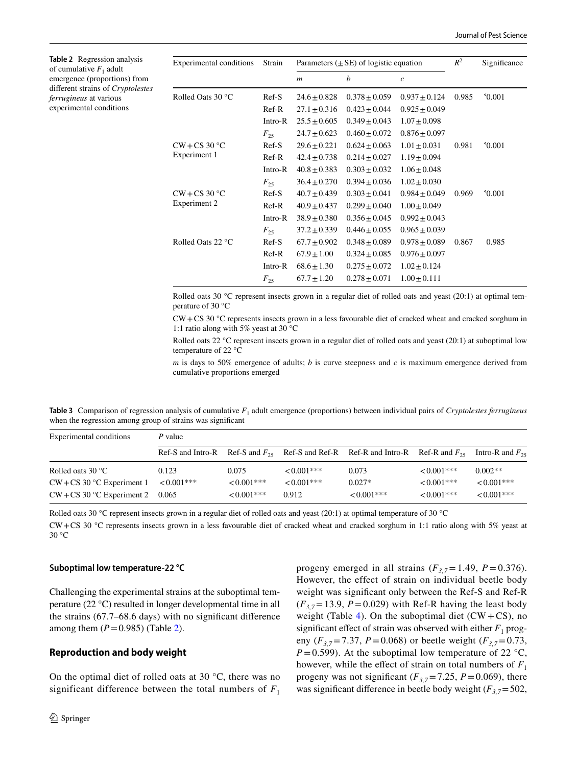<span id="page-7-0"></span>**Table 2** Regression analysis of cumulative  $F_1$  adult emergence (proportions) from diferent strains of *Cryptolestes ferrugineus* at various experimental conditions

| $R^2$<br>Parameters $(\pm SE)$ of logistic equation<br><b>Experimental conditions</b><br>Strain                        | Significance |
|------------------------------------------------------------------------------------------------------------------------|--------------|
| b<br>$\mathcal{C}$<br>$\boldsymbol{m}$                                                                                 |              |
| $^{\circ}0.001$<br>Rolled Oats 30 °C<br>$Ref-S$<br>$24.6 \pm 0.828$<br>$0.378 \pm 0.059$<br>$0.937 \pm 0.124$<br>0.985 |              |
| $Ref-R$<br>$27.1 \pm 0.316$<br>$0.423 \pm 0.044$<br>$0.925 \pm 0.049$                                                  |              |
| $25.5 \pm 0.605$<br>$0.349 \pm 0.043$<br>$1.07 \pm 0.098$<br>Intro-R                                                   |              |
| $24.7 \pm 0.623$<br>$0.460 \pm 0.072$<br>$0.876 \pm 0.097$<br>$F_{25}$                                                 |              |
| $CW + CS 30 °C$<br>$Ref-S$<br>$29.6 \pm 0.221$<br>$1.01 \pm 0.031$<br>$^{\circ}0.001$<br>$0.624 \pm 0.063$<br>0.981    |              |
| Experiment 1<br>$Ref-R$<br>$42.4 \pm 0.738$<br>$0.214 \pm 0.027$<br>$1.19 \pm 0.094$                                   |              |
| $1.06 \pm 0.048$<br>Intro-R<br>$40.8 \pm 0.383$<br>$0.303 \pm 0.032$                                                   |              |
| $36.4 \pm 0.270$<br>$0.394 \pm 0.036$<br>$1.02 \pm 0.030$<br>$F_{25}$                                                  |              |
| $CW + CS 30 °C$<br>$Ref-S$<br>$^{\circ}0.001$<br>$40.7 \pm 0.439$<br>$0.303 \pm 0.041$<br>$0.984 \pm 0.049$<br>0.969   |              |
| Experiment 2<br>$Ref-R$<br>$40.9 \pm 0.437$<br>$0.299 \pm 0.040$<br>$1.00 \pm 0.049$                                   |              |
| Intro-R<br>$38.9 \pm 0.380$<br>$0.356 \pm 0.045$<br>$0.992 \pm 0.043$                                                  |              |
| $37.2 \pm 0.339$<br>$0.446 \pm 0.055$<br>$0.965 \pm 0.039$<br>$F_{25}$                                                 |              |
| Rolled Oats 22 °C<br>$Ref-S$<br>0.985<br>$67.7 \pm 0.902$<br>$0.348 \pm 0.089$<br>$0.978 \pm 0.089$<br>0.867           |              |
| Ref-R<br>$67.9 \pm 1.00$<br>$0.324 \pm 0.085$<br>$0.976 \pm 0.097$                                                     |              |
| Intro-R<br>$1.02 \pm 0.124$<br>$68.6 \pm 1.30$<br>$0.275 \pm 0.072$                                                    |              |
| $1.00 \pm 0.111$<br>$F_{25}$<br>$67.7 \pm 1.20$<br>$0.278 \pm 0.071$                                                   |              |

Rolled oats 30 °C represent insects grown in a regular diet of rolled oats and yeast (20:1) at optimal temperature of 30 °C

CW+CS 30 °C represents insects grown in a less favourable diet of cracked wheat and cracked sorghum in 1:1 ratio along with 5% yeast at 30 °C

Rolled oats 22 °C represent insects grown in a regular diet of rolled oats and yeast (20:1) at suboptimal low temperature of 22 °C

*m* is days to 50% emergence of adults; *b* is curve steepness and *c* is maximum emergence derived from cumulative proportions emerged

<span id="page-7-1"></span>**Table 3** Comparison of regression analysis of cumulative  $F_1$  adult emergence (proportions) between individual pairs of *Cryptolestes ferrugineus* when the regression among group of strains was signifcant

| Experimental conditions      | P value       |               |              |                                                                                                                |               |               |  |
|------------------------------|---------------|---------------|--------------|----------------------------------------------------------------------------------------------------------------|---------------|---------------|--|
|                              |               |               |              | Ref-S and Intro-R Ref-S and $F_{25}$ Ref-S and Ref-R Ref-R and Intro-R Ref-R and $F_{25}$ Intro-R and $F_{25}$ |               |               |  |
| Rolled oats $30^{\circ}$ C   | 0.123         | 0.075         | $< 0.001***$ | 0.073                                                                                                          | $< 0.001$ *** | $0.002**$     |  |
| $CW + CS$ 30 °C Experiment 1 | $< 0.001$ *** | $< 0.001$ *** | $< 0.001***$ | $0.027*$                                                                                                       | $< 0.001$ *** | $< 0.001$ *** |  |
| $CW + CS$ 30 °C Experiment 2 | 0.065         | $< 0.001$ *** | 0.912        | $< 0.001$ ***                                                                                                  | $< 0.001$ *** | $< 0.001$ *** |  |

Rolled oats 30 °C represent insects grown in a regular diet of rolled oats and yeast (20:1) at optimal temperature of 30 °C

CW+CS 30 °C represents insects grown in a less favourable diet of cracked wheat and cracked sorghum in 1:1 ratio along with 5% yeast at 30 °C

#### **Suboptimal low temperature‑22 °C**

Challenging the experimental strains at the suboptimal temperature (22 °C) resulted in longer developmental time in all the strains (67.7–68.6 days) with no signifcant diference among them  $(P=0.985)$  (Table [2\)](#page-7-0).

#### **Reproduction and body weight**

On the optimal diet of rolled oats at 30  $\degree$ C, there was no significant difference between the total numbers of  $F_1$ 

progeny emerged in all strains  $(F_{3,7} = 1.49, P = 0.376)$ . However, the effect of strain on individual beetle body weight was signifcant only between the Ref-S and Ref-R  $(F_{3,7}=13.9, P=0.029)$  with Ref-R having the least body weight (Table [4\)](#page-8-0). On the suboptimal diet  $(CW + CS)$ , no significant effect of strain was observed with either  $F_1$  progeny ( $F_{3,7}$ =7.37, *P*=0.068) or beetle weight ( $F_{3,7}$ =0.73,  $P=0.599$ ). At the suboptimal low temperature of 22 °C, however, while the effect of strain on total numbers of  $F_1$ progeny was not significant ( $F_{3,7}$ =7.25, *P* = 0.069), there was significant difference in beetle body weight  $(F_{3,7} = 502,$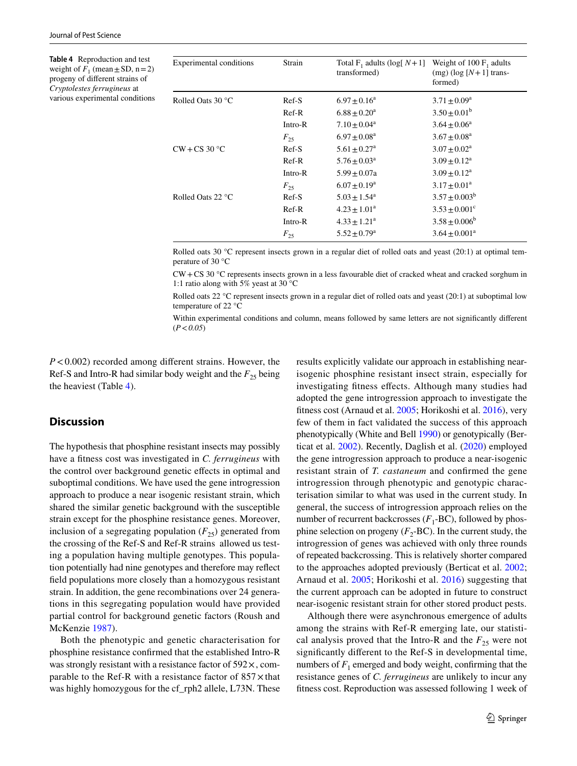<span id="page-8-0"></span>**Table 4** Reproduction and test weight of  $F_1$  (mean  $\pm$  SD, n = 2) progeny of diferent strains of *Cryptolestes ferrugineus* at various experimental conditions

| Experimental conditions    | Strain   | Total F <sub>1</sub> adults (log[ $N+1$ ] Weight of 100 F <sub>1</sub> adults<br>transformed) | $(mg)$ (log [N + 1] trans-<br>formed) |
|----------------------------|----------|-----------------------------------------------------------------------------------------------|---------------------------------------|
| Rolled Oats $30^{\circ}$ C | $Ref-S$  | $6.97 + 0.16^a$                                                                               | $3.71 \pm 0.09^{\rm a}$               |
|                            | $Ref-R$  | $6.88 + 0.20^a$                                                                               | $3.50 \pm 0.01^b$                     |
|                            | Intro-R  | $7.10 + 0.04^a$                                                                               | $3.64 + 0.06^a$                       |
|                            | $F_{25}$ | $6.97 + 0.08^a$                                                                               | $3.67 + 0.08^a$                       |
| $CW + CS$ 30 °C            | $Ref-S$  | $5.61 + 0.27$ <sup>a</sup>                                                                    | $3.07 + 0.02^a$                       |
|                            | $Ref-R$  | $5.76 \pm 0.03^a$                                                                             | $3.09 + 0.12^a$                       |
|                            | Intro-R  | $5.99 + 0.07a$                                                                                | $3.09 + 0.12^a$                       |
|                            | $F_{25}$ | $6.07 \pm 0.19^a$                                                                             | $3.17 + 0.01^a$                       |
| Rolled Oats 22 °C          | $Ref-S$  | $5.03 + 1.54^a$                                                                               | $3.57 + 0.003^b$                      |
|                            | $Ref-R$  | $4.23 \pm 1.01^a$                                                                             | $3.53 \pm 0.001$ <sup>c</sup>         |
|                            | Intro-R  | $4.33 \pm 1.21^a$                                                                             | $3.58 \pm 0.006^b$                    |
|                            | $F_{25}$ | $5.52 \pm 0.79$ <sup>a</sup>                                                                  | $3.64 \pm 0.001^a$                    |

Rolled oats 30 °C represent insects grown in a regular diet of rolled oats and yeast (20:1) at optimal temperature of 30 °C

CW+CS 30 °C represents insects grown in a less favourable diet of cracked wheat and cracked sorghum in 1:1 ratio along with 5% yeast at 30 °C

Rolled oats 22 °C represent insects grown in a regular diet of rolled oats and yeast (20:1) at suboptimal low temperature of 22 °C

Within experimental conditions and column, means followed by same letters are not signifcantly diferent (*P*<*0.05*)

*P*<0.002) recorded among different strains. However, the Ref-S and Intro-R had similar body weight and the  $F_{25}$  being the heaviest (Table [4\)](#page-8-0).

# **Discussion**

The hypothesis that phosphine resistant insects may possibly have a ftness cost was investigated in *C. ferrugineus* with the control over background genetic efects in optimal and suboptimal conditions. We have used the gene introgression approach to produce a near isogenic resistant strain, which shared the similar genetic background with the susceptible strain except for the phosphine resistance genes. Moreover, inclusion of a segregating population  $(F_{25})$  generated from the crossing of the Ref-S and Ref-R strains allowed us testing a population having multiple genotypes. This population potentially had nine genotypes and therefore may refect feld populations more closely than a homozygous resistant strain. In addition, the gene recombinations over 24 generations in this segregating population would have provided partial control for background genetic factors (Roush and McKenzie [1987\)](#page-11-14).

Both the phenotypic and genetic characterisation for phosphine resistance confrmed that the established Intro-R was strongly resistant with a resistance factor of  $592 \times$ , comparable to the Ref-R with a resistance factor of  $857 \times$ that was highly homozygous for the cf\_rph2 allele, L73N. These

results explicitly validate our approach in establishing nearisogenic phosphine resistant insect strain, especially for investigating ftness efects. Although many studies had adopted the gene introgression approach to investigate the ftness cost (Arnaud et al. [2005;](#page-10-20) Horikoshi et al. [2016](#page-10-21)), very few of them in fact validated the success of this approach phenotypically (White and Bell [1990\)](#page-11-15) or genotypically (Berticat et al. [2002](#page-10-22)). Recently, Daglish et al. ([2020\)](#page-10-13) employed the gene introgression approach to produce a near-isogenic resistant strain of *T. castaneum* and confrmed the gene introgression through phenotypic and genotypic characterisation similar to what was used in the current study. In general, the success of introgression approach relies on the number of recurrent backcrosses  $(F_1$ -BC), followed by phosphine selection on progeny  $(F_2$ -BC). In the current study, the introgression of genes was achieved with only three rounds of repeated backcrossing. This is relatively shorter compared to the approaches adopted previously (Berticat et al. [2002](#page-10-22); Arnaud et al. [2005](#page-10-20); Horikoshi et al. [2016](#page-10-21)) suggesting that the current approach can be adopted in future to construct near-isogenic resistant strain for other stored product pests.

Although there were asynchronous emergence of adults among the strains with Ref-R emerging late, our statistical analysis proved that the Intro-R and the  $F_{25}$  were not signifcantly diferent to the Ref-S in developmental time, numbers of  $F_1$  emerged and body weight, confirming that the resistance genes of *C. ferrugineus* are unlikely to incur any ftness cost. Reproduction was assessed following 1 week of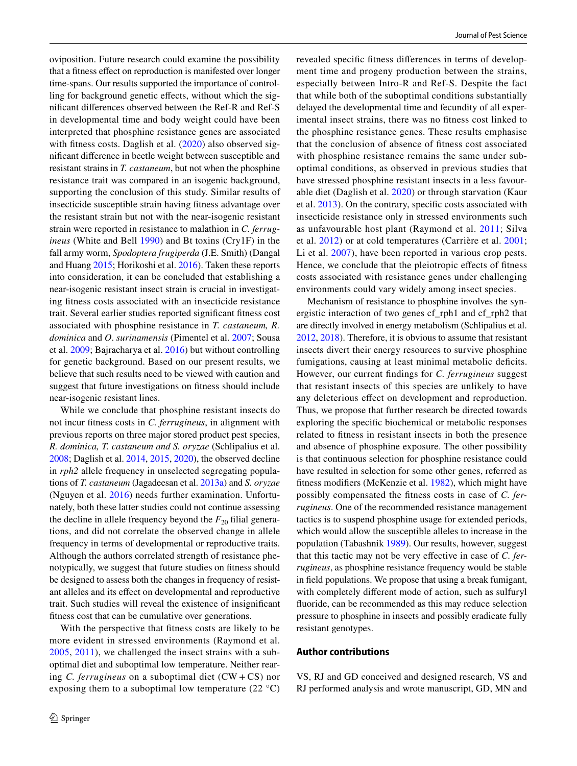oviposition. Future research could examine the possibility that a ftness efect on reproduction is manifested over longer time-spans. Our results supported the importance of controlling for background genetic effects, without which the signifcant diferences observed between the Ref-R and Ref-S in developmental time and body weight could have been interpreted that phosphine resistance genes are associated with fitness costs. Daglish et al. [\(2020\)](#page-10-13) also observed signifcant diference in beetle weight between susceptible and resistant strains in *T. castaneum*, but not when the phosphine resistance trait was compared in an isogenic background, supporting the conclusion of this study. Similar results of insecticide susceptible strain having ftness advantage over the resistant strain but not with the near-isogenic resistant strain were reported in resistance to malathion in *C. ferrugineus* (White and Bell [1990](#page-11-15)) and Bt toxins (Cry1F) in the fall army worm, *Spodoptera frugiperda* (J.E. Smith) (Dangal and Huang [2015](#page-10-23); Horikoshi et al. [2016](#page-10-21)). Taken these reports into consideration, it can be concluded that establishing a near-isogenic resistant insect strain is crucial in investigating ftness costs associated with an insecticide resistance trait. Several earlier studies reported signifcant ftness cost associated with phosphine resistance in *T. castaneum, R. dominica* and *O*. *surinamensis* (Pimentel et al. [2007;](#page-11-16) Sousa et al. [2009;](#page-11-17) Bajracharya et al. [2016\)](#page-10-10) but without controlling for genetic background. Based on our present results, we believe that such results need to be viewed with caution and suggest that future investigations on ftness should include near-isogenic resistant lines.

While we conclude that phosphine resistant insects do not incur ftness costs in *C. ferrugineus*, in alignment with previous reports on three major stored product pest species, *R. dominica, T. castaneum and S. oryzae* (Schlipalius et al. [2008;](#page-11-12) Daglish et al. [2014](#page-10-1), [2015,](#page-10-9) [2020\)](#page-10-13), the observed decline in *rph2* allele frequency in unselected segregating populations of *T. castaneum* (Jagadeesan et al. [2013a](#page-10-12)) and *S. oryzae* (Nguyen et al. [2016](#page-11-5)) needs further examination. Unfortunately, both these latter studies could not continue assessing the decline in allele frequency beyond the  $F_{20}$  filial generations, and did not correlate the observed change in allele frequency in terms of developmental or reproductive traits. Although the authors correlated strength of resistance phenotypically, we suggest that future studies on ftness should be designed to assess both the changes in frequency of resistant alleles and its efect on developmental and reproductive trait. Such studies will reveal the existence of insignifcant ftness cost that can be cumulative over generations.

With the perspective that ftness costs are likely to be more evident in stressed environments (Raymond et al. [2005,](#page-11-11) [2011](#page-11-27)), we challenged the insect strains with a suboptimal diet and suboptimal low temperature. Neither rearing *C. ferrugineus* on a suboptimal diet (CW + CS) nor exposing them to a suboptimal low temperature  $(22 \text{ }^{\circ}C)$  revealed specifc ftness diferences in terms of development time and progeny production between the strains, especially between Intro-R and Ref-S. Despite the fact that while both of the suboptimal conditions substantially delayed the developmental time and fecundity of all experimental insect strains, there was no ftness cost linked to the phosphine resistance genes. These results emphasise that the conclusion of absence of ftness cost associated with phosphine resistance remains the same under suboptimal conditions, as observed in previous studies that have stressed phosphine resistant insects in a less favourable diet (Daglish et al. [2020](#page-10-13)) or through starvation (Kaur et al. [2013\)](#page-11-18). On the contrary, specifc costs associated with insecticide resistance only in stressed environments such as unfavourable host plant (Raymond et al. [2011;](#page-11-27) Silva et al. [2012](#page-11-28)) or at cold temperatures (Carrière et al. [2001](#page-10-24); Li et al. [2007\)](#page-11-29), have been reported in various crop pests. Hence, we conclude that the pleiotropic effects of fitness costs associated with resistance genes under challenging environments could vary widely among insect species.

Mechanism of resistance to phosphine involves the synergistic interaction of two genes cf\_rph1 and cf\_rph2 that are directly involved in energy metabolism (Schlipalius et al. [2012](#page-11-22), [2018\)](#page-11-21). Therefore, it is obvious to assume that resistant insects divert their energy resources to survive phosphine fumigations, causing at least minimal metabolic deficits. However, our current fndings for *C. ferrugineus* suggest that resistant insects of this species are unlikely to have any deleterious efect on development and reproduction. Thus, we propose that further research be directed towards exploring the specifc biochemical or metabolic responses related to ftness in resistant insects in both the presence and absence of phosphine exposure. The other possibility is that continuous selection for phosphine resistance could have resulted in selection for some other genes, referred as ftness modifers (McKenzie et al. [1982\)](#page-11-30), which might have possibly compensated the ftness costs in case of *C. ferrugineus*. One of the recommended resistance management tactics is to suspend phosphine usage for extended periods, which would allow the susceptible alleles to increase in the population (Tabashnik [1989\)](#page-11-31). Our results, however, suggest that this tactic may not be very efective in case of *C. ferrugineus*, as phosphine resistance frequency would be stable in feld populations. We propose that using a break fumigant, with completely diferent mode of action, such as sulfuryl fuoride, can be recommended as this may reduce selection pressure to phosphine in insects and possibly eradicate fully resistant genotypes.

### **Author contributions**

VS, RJ and GD conceived and designed research, VS and RJ performed analysis and wrote manuscript, GD, MN and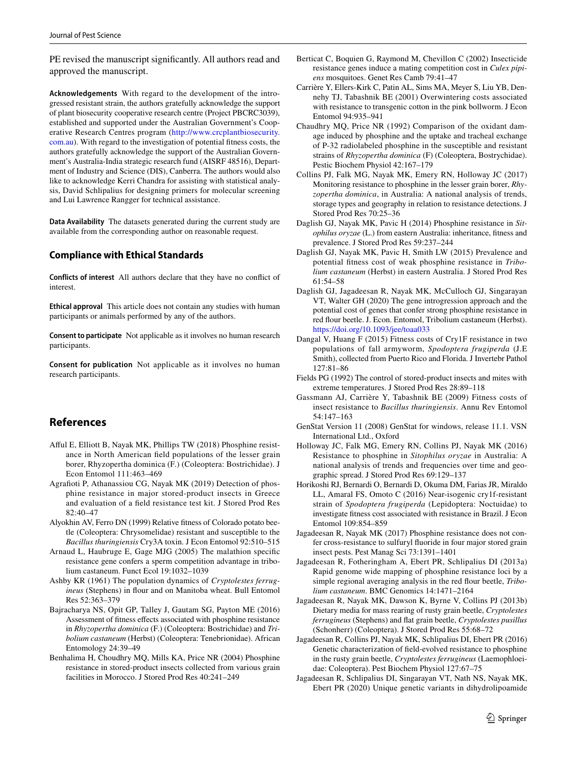PE revised the manuscript significantly. All authors read and approved the manuscript.

**Acknowledgements** With regard to the development of the introgressed resistant strain, the authors gratefully acknowledge the support of plant biosecurity cooperative research centre (Project PBCRC3039), established and supported under the Australian Government's Cooperative Research Centres program [\(http://www.crcplantbiosecurity.](http://www.crcplantbiosecurity.com.au) [com.au](http://www.crcplantbiosecurity.com.au)). With regard to the investigation of potential ftness costs, the authors gratefully acknowledge the support of the Australian Government's Australia-India strategic research fund (AISRF 48516), Department of Industry and Science (DIS), Canberra. The authors would also like to acknowledge Kerri Chandra for assisting with statistical analysis, David Schlipalius for designing primers for molecular screening and Lui Lawrence Rangger for technical assistance.

**Data Availability** The datasets generated during the current study are available from the corresponding author on reasonable request.

### **Compliance with Ethical Standards**

**Conflicts of interest** All authors declare that they have no confict of interest.

**Ethical approval** This article does not contain any studies with human participants or animals performed by any of the authors.

**Consent to participate** Not applicable as it involves no human research participants.

**Consent for publication** Not applicable as it involves no human research participants.

# **References**

- <span id="page-10-2"></span>Aful E, Elliott B, Nayak MK, Phillips TW (2018) Phosphine resistance in North American feld populations of the lesser grain borer, Rhyzopertha dominica (F.) (Coleoptera: Bostrichidae). J Econ Entomol 111:463–469
- <span id="page-10-3"></span>Agrafoti P, Athanassiou CG, Nayak MK (2019) Detection of phosphine resistance in major stored-product insects in Greece and evaluation of a feld resistance test kit. J Stored Prod Res 82:40–47
- <span id="page-10-7"></span>Alyokhin AV, Ferro DN (1999) Relative ftness of Colorado potato beetle (Coleoptera: Chrysomelidae) resistant and susceptible to the *Bacillus thuringiensis* Cry3A toxin. J Econ Entomol 92:510–515
- <span id="page-10-20"></span>Arnaud L, Haubruge E, Gage MJG (2005) The malathion specifc resistance gene confers a sperm competition advantage in tribolium castaneum. Funct Ecol 19:1032–1039
- <span id="page-10-18"></span>Ashby KR (1961) The population dynamics of *Cryptolestes ferrugineus* (Stephens) in flour and on Manitoba wheat. Bull Entomol Res 52:363–379
- <span id="page-10-10"></span>Bajracharya NS, Opit GP, Talley J, Gautam SG, Payton ME (2016) Assessment of ftness efects associated with phosphine resistance in *Rhyzopertha dominica* (F.) (Coleoptera: Bostrichidae) and *Tribolium castaneum* (Herbst) (Coleoptera: Tenebrionidae). African Entomology 24:39–49
- <span id="page-10-0"></span>Benhalima H, Choudhry MQ, Mills KA, Price NR (2004) Phosphine resistance in stored-product insects collected from various grain facilities in Morocco. J Stored Prod Res 40:241–249
- <span id="page-10-22"></span>Berticat C, Boquien G, Raymond M, Chevillon C (2002) Insecticide resistance genes induce a mating competition cost in *Culex pipiens* mosquitoes. Genet Res Camb 79:41–47
- <span id="page-10-24"></span>Carrière Y, Ellers-Kirk C, Patin AL, Sims MA, Meyer S, Liu YB, Dennehy TJ, Tabashnik BE (2001) Overwintering costs associated with resistance to transgenic cotton in the pink bollworm. J Econ Entomol 94:935–941
- <span id="page-10-11"></span>Chaudhry MQ, Price NR (1992) Comparison of the oxidant damage induced by phosphine and the uptake and tracheal exchange of P-32 radiolabeled phosphine in the susceptible and resistant strains of *Rhyzopertha dominica* (F) (Coleoptera, Bostrychidae). Pestic Biochem Physiol 42:167–179
- <span id="page-10-5"></span>Collins PJ, Falk MG, Nayak MK, Emery RN, Holloway JC (2017) Monitoring resistance to phosphine in the lesser grain borer, *Rhyzopertha dominica*, in Australia: A national analysis of trends, storage types and geography in relation to resistance detections. J Stored Prod Res 70:25–36
- <span id="page-10-1"></span>Daglish GJ, Nayak MK, Pavic H (2014) Phosphine resistance in *Sitophilus oryzae* (L.) from eastern Australia: inheritance, ftness and prevalence. J Stored Prod Res 59:237–244
- <span id="page-10-9"></span>Daglish GJ, Nayak MK, Pavic H, Smith LW (2015) Prevalence and potential ftness cost of weak phosphine resistance in *Tribolium castaneum* (Herbst) in eastern Australia. J Stored Prod Res 61:54–58
- <span id="page-10-13"></span>Daglish GJ, Jagadeesan R, Nayak MK, McCulloch GJ, Singarayan VT, Walter GH (2020) The gene introgression approach and the potential cost of genes that confer strong phosphine resistance in red four beetle. J. Econ. Entomol, Tribolium castaneum (Herbst). <https://doi.org/10.1093/jee/toaa033>
- <span id="page-10-23"></span>Dangal V, Huang F (2015) Fitness costs of Cry1F resistance in two populations of fall armyworm, *Spodoptera frugiperda* (J.E Smith), collected from Puerto Rico and Florida. J Invertebr Pathol 127:81–86
- <span id="page-10-19"></span>Fields PG (1992) The control of stored-product insects and mites with extreme temperatures. J Stored Prod Res 28:89–118
- <span id="page-10-8"></span>Gassmann AJ, Carrière Y, Tabashnik BE (2009) Fitness costs of insect resistance to *Bacillus thuringiensis*. Annu Rev Entomol 54:147–163
- <span id="page-10-15"></span>GenStat Version 11 (2008) GenStat for windows, release 11.1. VSN International Ltd., Oxford
- <span id="page-10-4"></span>Holloway JC, Falk MG, Emery RN, Collins PJ, Nayak MK (2016) Resistance to phosphine in *Sitophilus oryzae* in Australia: A national analysis of trends and frequencies over time and geographic spread. J Stored Prod Res 69:129–137
- <span id="page-10-21"></span>Horikoshi RJ, Bernardi O, Bernardi D, Okuma DM, Farias JR, Miraldo LL, Amaral FS, Omoto C (2016) Near-isogenic cry1f-resistant strain of *Spodoptera frugiperda* (Lepidoptera: Noctuidae) to investigate ftness cost associated with resistance in Brazil. J Econ Entomol 109:854–859
- <span id="page-10-6"></span>Jagadeesan R, Nayak MK (2017) Phosphine resistance does not confer cross-resistance to sulfuryl fuoride in four major stored grain insect pests. Pest Manag Sci 73:1391–1401
- <span id="page-10-12"></span>Jagadeesan R, Fotheringham A, Ebert PR, Schlipalius DI (2013a) Rapid genome wide mapping of phosphine resistance loci by a simple regional averaging analysis in the red four beetle, *Tribolium castaneum*. BMC Genomics 14:1471–2164
- <span id="page-10-17"></span>Jagadeesan R, Nayak MK, Dawson K, Byrne V, Collins PJ (2013b) Dietary media for mass rearing of rusty grain beetle, *Cryptolestes ferrugineus* (Stephens) and fat grain beetle, *Cryptolestes pusillus* (Schonherr) (Coleoptera). J Stored Prod Res 55:68–72
- <span id="page-10-14"></span>Jagadeesan R, Collins PJ, Nayak MK, Schlipalius DI, Ebert PR (2016) Genetic characterization of feld-evolved resistance to phosphine in the rusty grain beetle, *Cryptolestes ferrugineus* (Laemophloeidae: Coleoptera). Pest Biochem Physiol 127:67–75
- <span id="page-10-16"></span>Jagadeesan R, Schlipalius DI, Singarayan VT, Nath NS, Nayak MK, Ebert PR (2020) Unique genetic variants in dihydrolipoamide